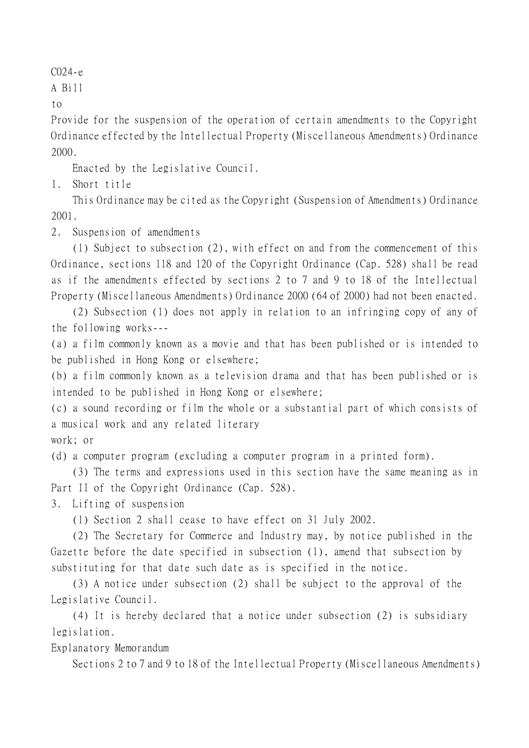## C024-e

A Bill

to

Provide for the suspension of the operation of certain amendments to the Copyright Ordinance effected by the Intellectual Property (Miscellaneous Amendments) Ordinance 2000.

Enacted by the Legislative Council.

1. Short title

This Ordinance may be cited as the Copyright (Suspension of Amendments) Ordinance 2001.

2. Suspension of amendments

(1) Subject to subsection (2), with effect on and from the commencement of this Ordinance, sections 118 and 120 of the Copyright Ordinance (Cap. 528) shall be read as if the amendments effected by sections 2 to 7 and 9 to 18 of the Intellectual Property (Miscellaneous Amendments) Ordinance 2000 (64 of 2000) had not been enacted.

(2) Subsection (1) does not apply in relation to an infringing copy of any of the following works---

(a) a film commonly known as a movie and that has been published or is intended to be published in Hong Kong or elsewhere;

(b) a film commonly known as a television drama and that has been published or is intended to be published in Hong Kong or elsewhere;

(c) a sound recording or film the whole or a substantial part of which consists of a musical work and any related literary

work; or

(d) a computer program (excluding a computer program in a printed form).

(3) The terms and expressions used in this section have the same meaning as in Part II of the Copyright Ordinance (Cap. 528).

3. Lifting of suspension

(1) Section 2 shall cease to have effect on 31 July 2002.

(2) The Secretary for Commerce and Industry may, by notice published in the Gazette before the date specified in subsection (1), amend that subsection by substituting for that date such date as is specified in the notice.

(3) A notice under subsection (2) shall be subject to the approval of the Legislative Council.

(4) It is hereby declared that a notice under subsection (2) is subsidiary legislation.

Explanatory Memorandum

Sections 2 to 7 and 9 to 18 of the Intellectual Property (Miscellaneous Amendments)